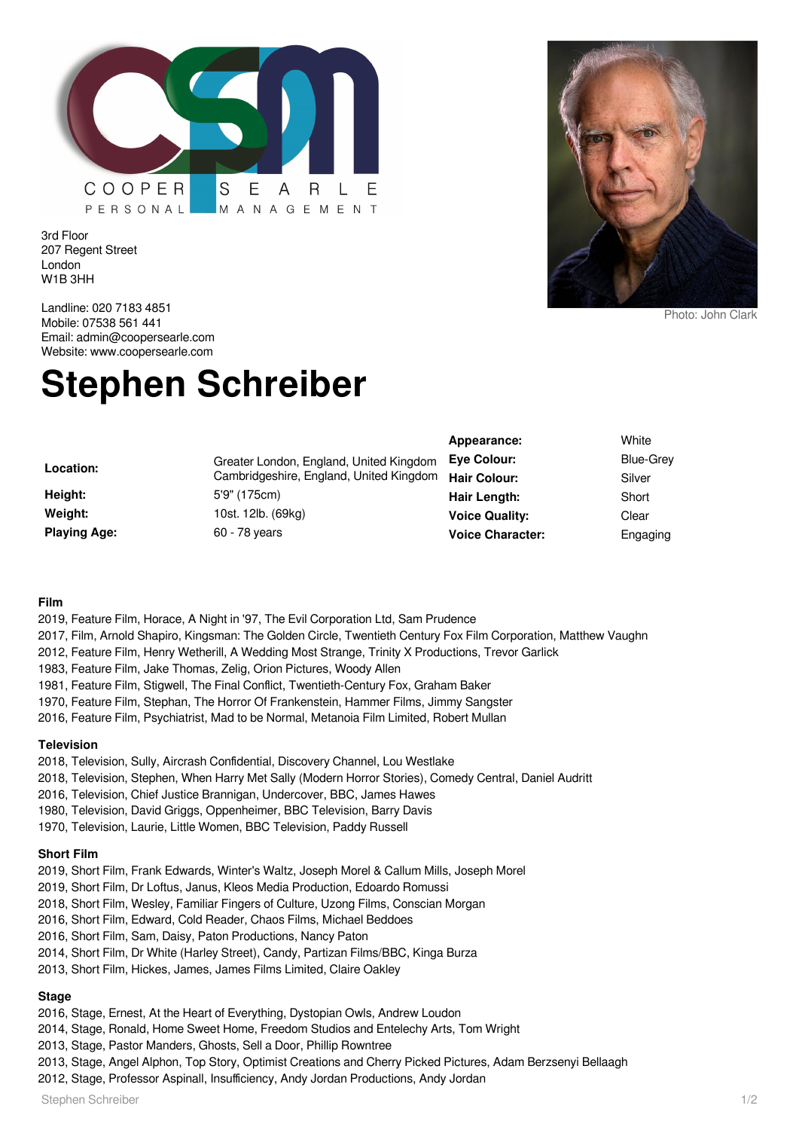

3rd Floor 207 Regent Street London W1B 3HH

Landline: 020 7183 4851 Mobile: 07538 561 441 Email: admin@coopersearle.com Website: www.coopersearle.com

# **Stephen Schreiber**

|                     |                                         | Appearance:             | White            |
|---------------------|-----------------------------------------|-------------------------|------------------|
| Location:           | Greater London, England, United Kingdom | <b>Eve Colour:</b>      | <b>Blue-Grey</b> |
|                     | Cambridgeshire, England, United Kingdom | Hair Colour:            | Silver           |
| Height:             | 5'9" (175cm)                            | Hair Length:            | Short            |
| Weight:             | 10st. 12lb. (69kg)                      | <b>Voice Quality:</b>   | Clear            |
| <b>Playing Age:</b> | 60 - 78 years                           | <b>Voice Character:</b> | Engaging         |

#### **Film**

- 2019, Feature Film, Horace, A Night in '97, The Evil Corporation Ltd, Sam Prudence
- 2017, Film, Arnold Shapiro, Kingsman: The Golden Circle, Twentieth Century Fox Film Corporation, Matthew Vaughn
- 2012, Feature Film, Henry Wetherill, A Wedding Most Strange, Trinity X Productions, Trevor Garlick
- 1983, Feature Film, Jake Thomas, Zelig, Orion Pictures, Woody Allen
- 1981, Feature Film, Stigwell, The Final Conflict, Twentieth-Century Fox, Graham Baker
- 1970, Feature Film, Stephan, The Horror Of Frankenstein, Hammer Films, Jimmy Sangster
- 2016, Feature Film, Psychiatrist, Mad to be Normal, Metanoia Film Limited, Robert Mullan

#### **Television**

- 2018, Television, Sully, Aircrash Confidential, Discovery Channel, Lou Westlake
- 2018, Television, Stephen, When Harry Met Sally (Modern Horror Stories), Comedy Central, Daniel Audritt
- 2016, Television, Chief Justice Brannigan, Undercover, BBC, James Hawes
- 1980, Television, David Griggs, Oppenheimer, BBC Television, Barry Davis
- 1970, Television, Laurie, Little Women, BBC Television, Paddy Russell

#### **Short Film**

- 2019, Short Film, Frank Edwards, Winter's Waltz, Joseph Morel & Callum Mills, Joseph Morel
- 2019, Short Film, Dr Loftus, Janus, Kleos Media Production, Edoardo Romussi
- 2018, Short Film, Wesley, Familiar Fingers of Culture, Uzong Films, Conscian Morgan
- 2016, Short Film, Edward, Cold Reader, Chaos Films, Michael Beddoes
- 2016, Short Film, Sam, Daisy, Paton Productions, Nancy Paton
- 2014, Short Film, Dr White (Harley Street), Candy, Partizan Films/BBC, Kinga Burza
- 2013, Short Film, Hickes, James, James Films Limited, Claire Oakley

# **Stage**

- 2016, Stage, Ernest, At the Heart of Everything, Dystopian Owls, Andrew Loudon
- 2014, Stage, Ronald, Home Sweet Home, Freedom Studios and Entelechy Arts, Tom Wright
- 2013, Stage, Pastor Manders, Ghosts, Sell a Door, Phillip Rowntree
- 2013, Stage, Angel Alphon, Top Story, Optimist Creations and Cherry Picked Pictures, Adam Berzsenyi Bellaagh
- 2012, Stage, Professor Aspinall, Insufficiency, Andy Jordan Productions, Andy Jordan